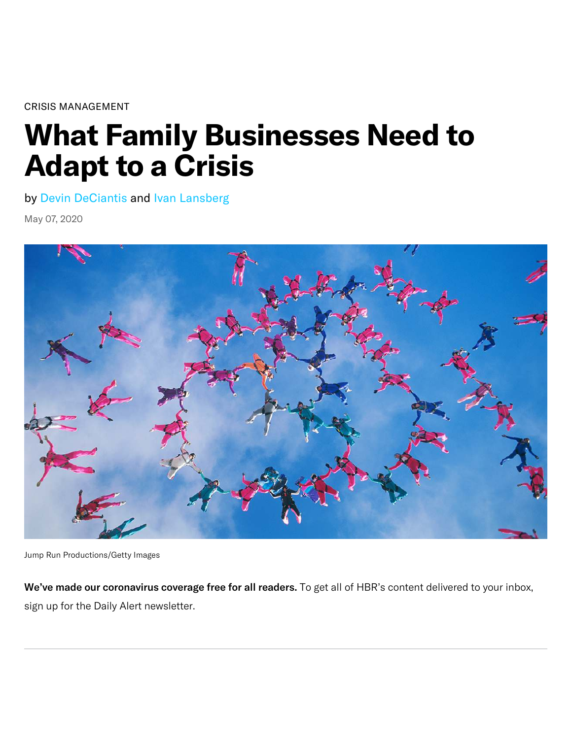[CRISIS MANAGEMENT](https://hbr.org/topic/crisis-management)

# **What Family Businesses Need to Adapt to a Crisis**

by [Devin DeCiantis](https://hbr.org/search?term=devin%20deciantis) and [Ivan Lansberg](https://hbr.org/search?term=ivan%20lansberg)

May 07, 2020



Jump Run Productions/Getty Images

We've made our [coronavirus coverage](https://hbr.org/insight-center/coronavirus?ab=articlewidget-insightcenter-coronavirus) free for all readers. To get all of HBR's content delivered to your inbox, sign up for the [Daily Alert](https://hbr.org/email-newsletters?ab=articlewidget-newsletter-coronavirus&movetile=dailyalert) newsletter.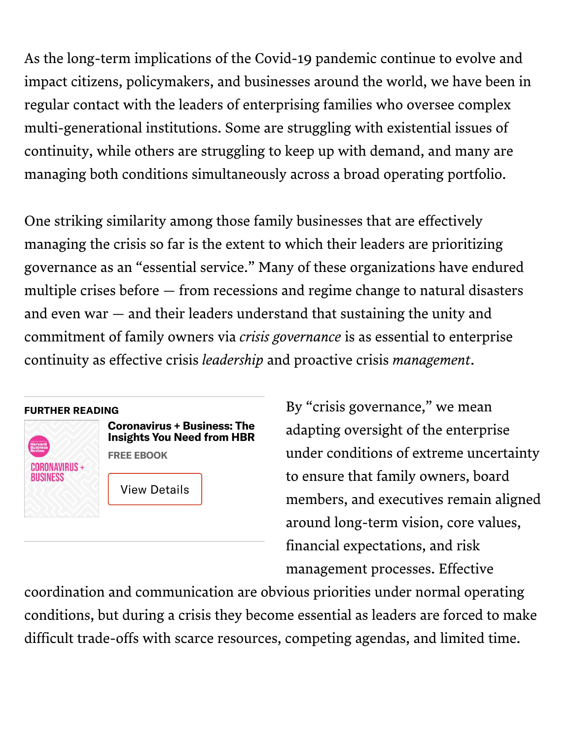As the long-term implications of the Covid-19 pandemic continue to evolve and impact citizens, policymakers, and businesses around the world, we have been in regular contact with the leaders of enterprising families who oversee complex multi-generational institutions. Some are struggling with existential issues of continuity, while others are struggling to keep up with demand, and many are managing both conditions simultaneously across a broad operating portfolio.

One striking similarity among those family businesses that are effectively managing the crisis so far is the extent to which their leaders are prioritizing governance as an "essential service." Many of these organizations have endured multiple crises before — from recessions and regime change to natural disasters and even war — and their leaders understand that sustaining the unity and commitment of family owners via *crisis governance* is as essential to enterprise continuity as effective crisis *leadership* and proactive crisis *management*.

#### **FURTHER READING**



**Coronavirus + Business: The [Insights You Need from HBR](https://store.hbr.org/product/coronavirus-and-business-the-insights-you-need-from-harvard-business-review/10440?sku=10440E-KND-ENG?referral=02560) FREE EBOOK**

[View Details](https://hbr.org/2020/05/what-family-businesses-need-to-adapt-to-a-crisis%23)

By "crisis governance," we mean adapting oversight of the enterprise under conditions of extreme uncertainty to ensure that family owners, board members, and executives remain aligned around long-term vision, core values, financial expectations, and risk management processes. Effective

coordination and communication are obvious priorities under normal operating conditions, but during a crisis they become essential as leaders are forced to make difficult trade-offs with scarce resources, competing agendas, and limited time.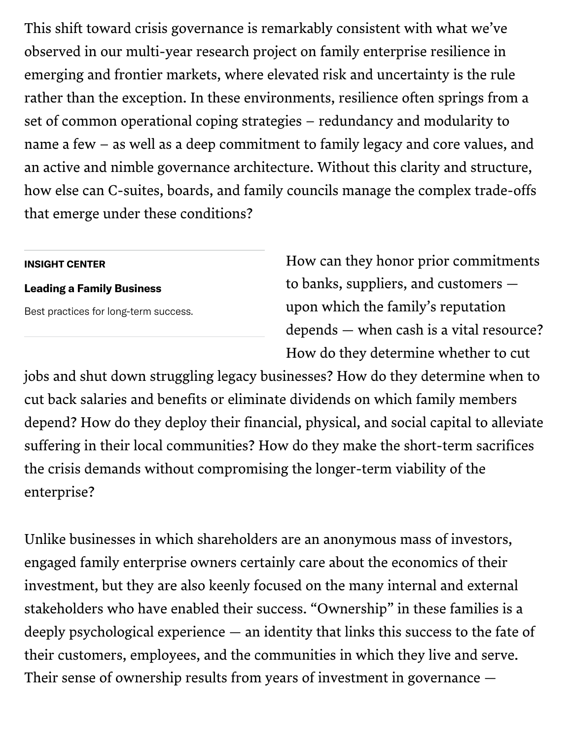This shift toward crisis governance is remarkably consistent with what we've observed in our [multi-year research project](https://www.lgassoc.com/writing/2017/3/30/resilience-in-family-enterprises-lessons-from-emerging-and-frontier-markets?rq=extremo) on family enterprise resilience in emerging and frontier markets, where elevated risk and uncertainty is the rule rather than the exception. In these environments, resilience often springs from a set of common operational coping strategies – redundancy and modularity to name a few – as well as a deep commitment to family legacy and core values, and an active and nimble governance architecture. Without this clarity and structure, how else can C-suites, boards, and family councils manage the complex trade-offs that emerge under these conditions?

#### **INSIGHT CENTER**

#### **[Leading a Family Business](https://hbr.org/insight-center/leading-a-family-business)**

Best practices for long-term success.

How can they honor prior commitments to banks, suppliers, and customers upon which the family's reputation depends — when cash is a vital resource? How do they determine whether to cut

jobs and shut down struggling legacy businesses? How do they determine when to cut back salaries and benefits or eliminate dividends on which family members depend? How do they deploy their financial, physical, and social capital to alleviate suffering in their local communities? How do they make the short-term sacrifices the crisis demands without compromising the longer-term viability of the enterprise?

Unlike businesses in which shareholders are an anonymous mass of investors, engaged family enterprise owners certainly care about the economics of their investment, but they are also keenly focused on the many internal and external stakeholders who have enabled their success. "Ownership" in these families is a deeply psychological experience — an identity that links this success to the fate of their customers, employees, and the communities in which they live and serve. Their sense of ownership results from years of investment in governance —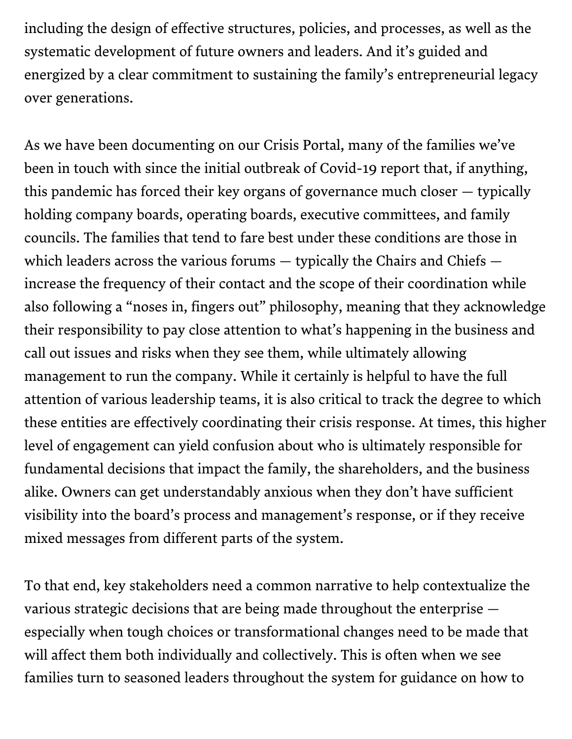including the design of effective structures, policies, and processes, as well as the systematic development of future owners and leaders. And it's guided and energized by a clear commitment to sustaining the family's entrepreneurial legacy over generations.

As we have been documenting on our [Crisis Portal,](https://www.lgassoc.com/insights/covid-19-family-business) many of the families we've been in touch with since the initial outbreak of Covid-19 report that, if anything, this pandemic has forced their key organs of governance much closer — typically holding company boards, operating boards, executive committees, and family councils. The families that tend to fare best under these conditions are those in which leaders across the various forums — typically the Chairs and Chiefs increase the frequency of their contact and the scope of their coordination while also following a "noses in, fingers out" philosophy, meaning that they acknowledge their responsibility to pay close attention to what's happening in the business and call out issues and risks when they see them, while ultimately allowing management to run the company. While it certainly is helpful to have the full attention of various leadership teams, it is also critical to track the degree to which these entities are effectively coordinating their crisis response. At times, this higher level of engagement can yield confusion about who is ultimately responsible for fundamental decisions that impact the family, the shareholders, and the business alike. Owners can get understandably anxious when they don't have sufficient visibility into the board's process and management's response, or if they receive mixed messages from different parts of the system.

To that end, key stakeholders need a common narrative to help contextualize the various strategic decisions that are being made throughout the enterprise especially when tough choices or transformational changes need to be made that will affect them both individually and collectively. This is often when we see families turn to seasoned leaders throughout the system for guidance on how to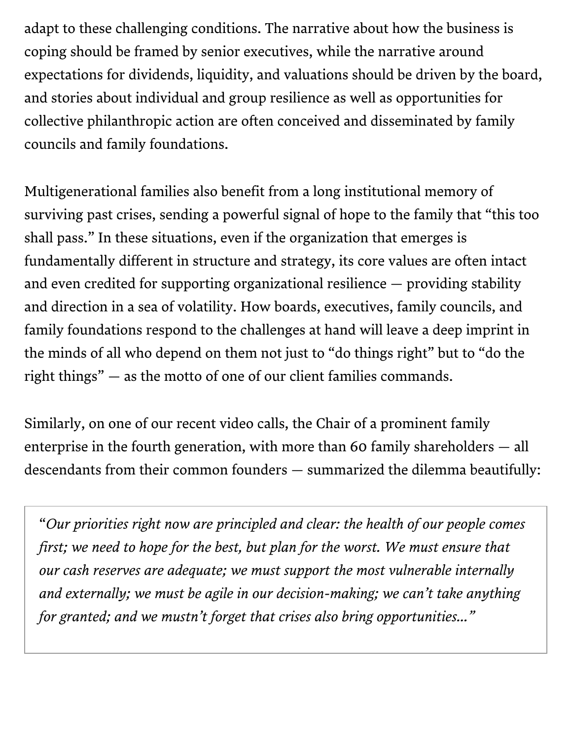adapt to these challenging conditions. The narrative about how the business is coping should be framed by senior executives, while the narrative around expectations for dividends, liquidity, and valuations should be driven by the board, and stories about individual and group resilience as well as opportunities for collective philanthropic action are often conceived and disseminated by family councils and family foundations.

Multigenerational families also benefit from a long institutional memory of surviving past crises, sending a powerful signal of hope to the family that "this too shall pass." In these situations, even if the organization that emerges is fundamentally different in structure and strategy, its core values are often intact and even credited for supporting organizational resilience — providing stability and direction in a sea of volatility. How boards, executives, family councils, and family foundations respond to the challenges at hand will leave a deep imprint in the minds of all who depend on them not just to "do things right" but to "do the right things" — as the motto of one of our client families commands.

Similarly, on one of our recent video calls, the Chair of a prominent family enterprise in the fourth generation, with more than 60 family shareholders — all descendants from their common founders — summarized the dilemma beautifully:

"*Our priorities right now are principled and clear: the health of our people comes first; we need to hope for the best, but plan for the worst. We must ensure that our cash reserves are adequate; we must support the most vulnerable internally and externally; we must be agile in our decision-making; we can't take anything for granted; and we mustn't forget that crises also bring opportunities…"*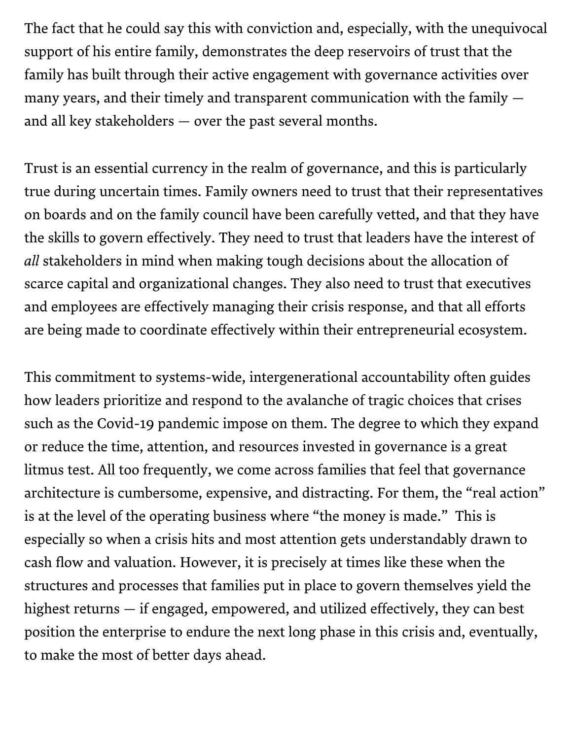The fact that he could say this with conviction and, especially, with the unequivocal support of his entire family, demonstrates the deep reservoirs of trust that the family has built through their active engagement with governance activities over many years, and their timely and transparent communication with the family and all key stakeholders — over the past several months.

Trust is an essential currency in the realm of governance, and this is particularly true during uncertain times. Family owners need to trust that their representatives on boards and on the family council have been carefully vetted, and that they have the skills to govern effectively. They need to trust that leaders have the interest of *all* stakeholders in mind when making tough decisions about the allocation of scarce capital and organizational changes. They also need to trust that executives and employees are effectively managing their crisis response, and that all efforts are being made to coordinate effectively within their entrepreneurial ecosystem.

This commitment to systems-wide, intergenerational accountability often guides how leaders prioritize and respond to the avalanche of tragic choices that crises such as the Covid-19 pandemic impose on them. The degree to which they expand or reduce the time, attention, and resources invested in governance is a great litmus test. All too frequently, we come across families that feel that governance architecture is cumbersome, expensive, and distracting. For them, the "real action" is at the level of the operating business where "the money is made." This is especially so when a crisis hits and most attention gets understandably drawn to cash flow and valuation. However, it is precisely at times like these when the structures and processes that families put in place to govern themselves yield the highest returns — if engaged, empowered, and utilized effectively, they can best position the enterprise to endure the next long phase in this crisis and, eventually, to make the most of better days ahead.